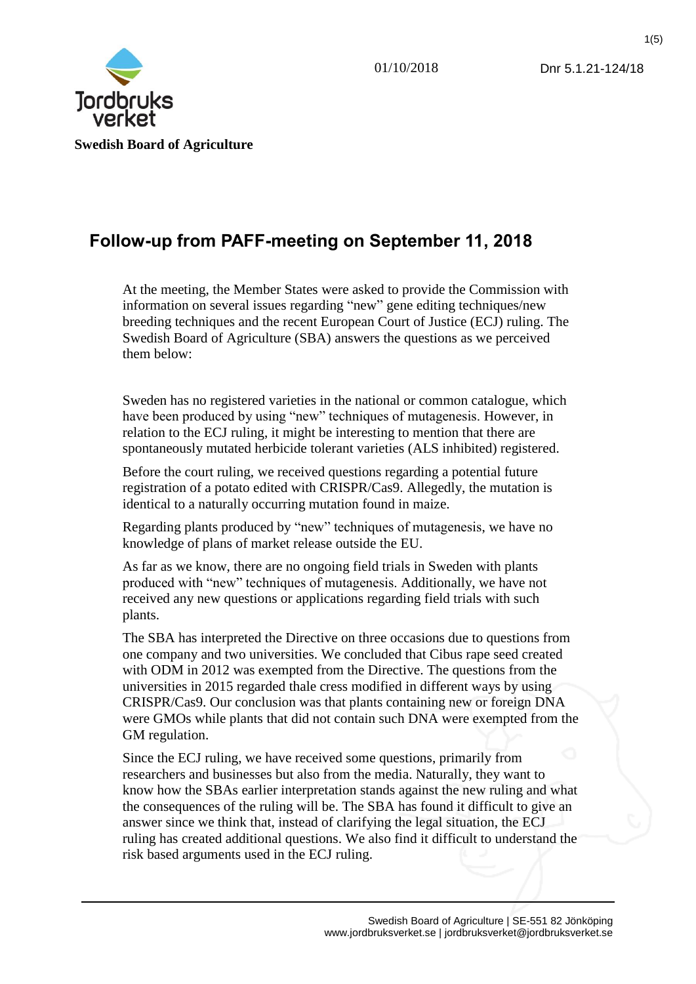1(5)



# **Follow-up from PAFF-meeting on September 11, 2018**

At the meeting, the Member States were asked to provide the Commission with information on several issues regarding "new" gene editing techniques/new breeding techniques and the recent European Court of Justice (ECJ) ruling. The Swedish Board of Agriculture (SBA) answers the questions as we perceived them below:

Sweden has no registered varieties in the national or common catalogue, which have been produced by using "new" techniques of mutagenesis. However, in relation to the ECJ ruling, it might be interesting to mention that there are spontaneously mutated herbicide tolerant varieties (ALS inhibited) registered.

Before the court ruling, we received questions regarding a potential future registration of a potato edited with CRISPR/Cas9. Allegedly, the mutation is identical to a naturally occurring mutation found in maize.

Regarding plants produced by "new" techniques of mutagenesis, we have no knowledge of plans of market release outside the EU.

As far as we know, there are no ongoing field trials in Sweden with plants produced with "new" techniques of mutagenesis. Additionally, we have not received any new questions or applications regarding field trials with such plants.

The SBA has interpreted the Directive on three occasions due to questions from one company and two universities. We concluded that Cibus rape seed created with ODM in 2012 was exempted from the Directive. The questions from the universities in 2015 regarded thale cress modified in different ways by using CRISPR/Cas9. Our conclusion was that plants containing new or foreign DNA were GMOs while plants that did not contain such DNA were exempted from the GM regulation.

Since the ECJ ruling, we have received some questions, primarily from researchers and businesses but also from the media. Naturally, they want to know how the SBAs earlier interpretation stands against the new ruling and what the consequences of the ruling will be. The SBA has found it difficult to give an answer since we think that, instead of clarifying the legal situation, the ECJ ruling has created additional questions. We also find it difficult to understand the risk based arguments used in the ECJ ruling.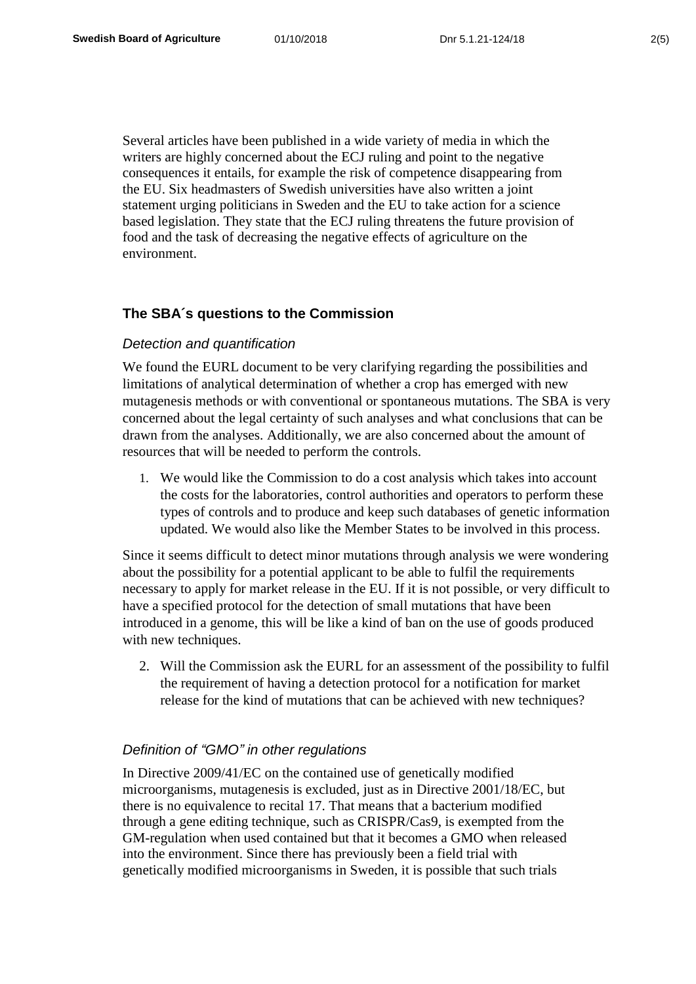Several articles have been published in a wide variety of media in which the writers are highly concerned about the ECJ ruling and point to the negative consequences it entails, for example the risk of competence disappearing from the EU. Six headmasters of Swedish universities have also written a joint statement urging politicians in Sweden and the EU to take action for a science based legislation. They state that the ECJ ruling threatens the future provision of food and the task of decreasing the negative effects of agriculture on the environment.

# **The SBA´s questions to the Commission**

#### *Detection and quantification*

We found the EURL document to be very clarifying regarding the possibilities and limitations of analytical determination of whether a crop has emerged with new mutagenesis methods or with conventional or spontaneous mutations. The SBA is very concerned about the legal certainty of such analyses and what conclusions that can be drawn from the analyses. Additionally, we are also concerned about the amount of resources that will be needed to perform the controls.

1. We would like the Commission to do a cost analysis which takes into account the costs for the laboratories, control authorities and operators to perform these types of controls and to produce and keep such databases of genetic information updated. We would also like the Member States to be involved in this process.

Since it seems difficult to detect minor mutations through analysis we were wondering about the possibility for a potential applicant to be able to fulfil the requirements necessary to apply for market release in the EU. If it is not possible, or very difficult to have a specified protocol for the detection of small mutations that have been introduced in a genome, this will be like a kind of ban on the use of goods produced with new techniques.

2. Will the Commission ask the EURL for an assessment of the possibility to fulfil the requirement of having a detection protocol for a notification for market release for the kind of mutations that can be achieved with new techniques?

## *Definition of "GMO" in other regulations*

In Directive 2009/41/EC on the contained use of genetically modified microorganisms, mutagenesis is excluded, just as in Directive 2001/18/EC, but there is no equivalence to recital 17. That means that a bacterium modified through a gene editing technique, such as CRISPR/Cas9, is exempted from the GM-regulation when used contained but that it becomes a GMO when released into the environment. Since there has previously been a field trial with genetically modified microorganisms in Sweden, it is possible that such trials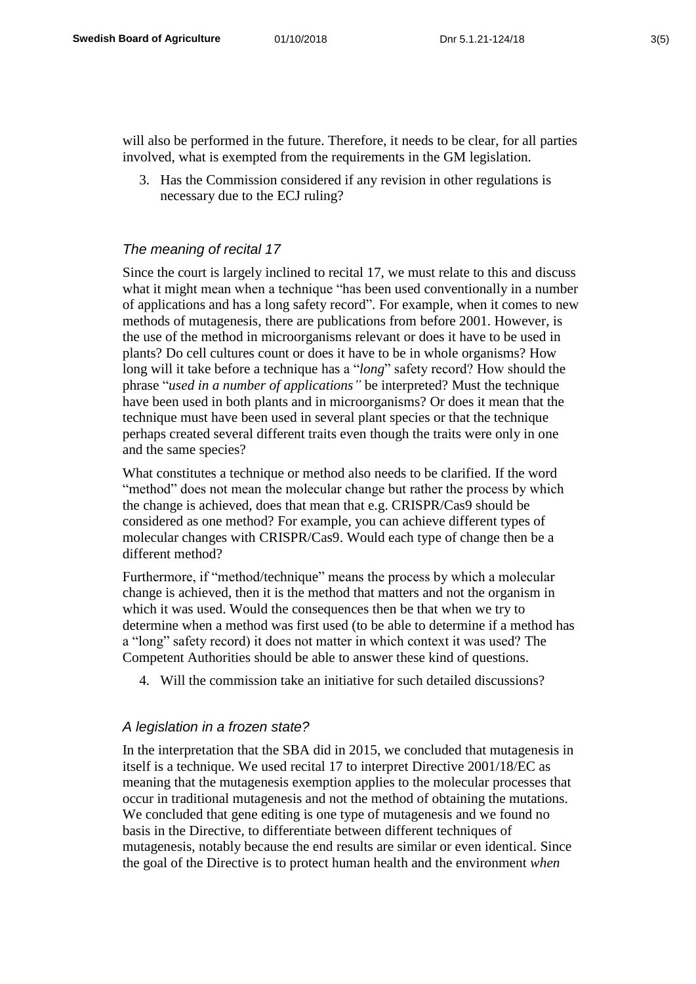will also be performed in the future. Therefore, it needs to be clear, for all parties involved, what is exempted from the requirements in the GM legislation.

3. Has the Commission considered if any revision in other regulations is necessary due to the ECJ ruling?

# *The meaning of recital 17*

Since the court is largely inclined to recital 17, we must relate to this and discuss what it might mean when a technique "has been used conventionally in a number of applications and has a long safety record". For example, when it comes to new methods of mutagenesis, there are publications from before 2001. However, is the use of the method in microorganisms relevant or does it have to be used in plants? Do cell cultures count or does it have to be in whole organisms? How long will it take before a technique has a "*long*" safety record? How should the phrase "*used in a number of applications"* be interpreted? Must the technique have been used in both plants and in microorganisms? Or does it mean that the technique must have been used in several plant species or that the technique perhaps created several different traits even though the traits were only in one and the same species?

What constitutes a technique or method also needs to be clarified. If the word "method" does not mean the molecular change but rather the process by which the change is achieved, does that mean that e.g. CRISPR/Cas9 should be considered as one method? For example, you can achieve different types of molecular changes with CRISPR/Cas9. Would each type of change then be a different method?

Furthermore, if "method/technique" means the process by which a molecular change is achieved, then it is the method that matters and not the organism in which it was used. Would the consequences then be that when we try to determine when a method was first used (to be able to determine if a method has a "long" safety record) it does not matter in which context it was used? The Competent Authorities should be able to answer these kind of questions.

4. Will the commission take an initiative for such detailed discussions?

### *A legislation in a frozen state?*

In the interpretation that the SBA did in 2015, we concluded that mutagenesis in itself is a technique. We used recital 17 to interpret Directive 2001/18/EC as meaning that the mutagenesis exemption applies to the molecular processes that occur in traditional mutagenesis and not the method of obtaining the mutations. We concluded that gene editing is one type of mutagenesis and we found no basis in the Directive, to differentiate between different techniques of mutagenesis, notably because the end results are similar or even identical. Since the goal of the Directive is to protect human health and the environment *when*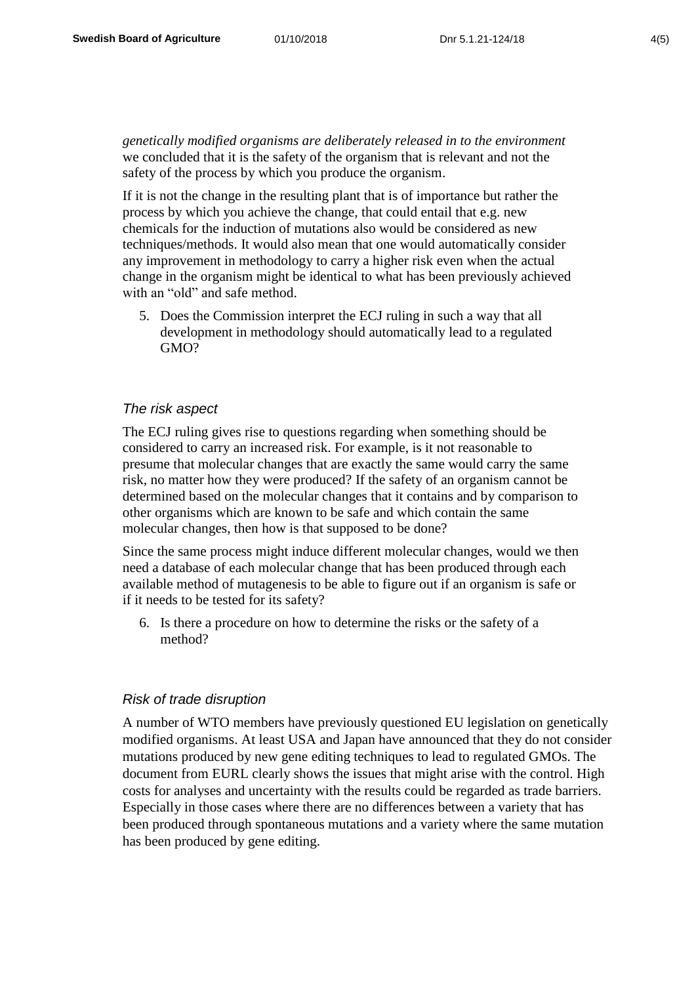*genetically modified organisms are deliberately released in to the environment* we concluded that it is the safety of the organism that is relevant and not the safety of the process by which you produce the organism.

If it is not the change in the resulting plant that is of importance but rather the process by which you achieve the change, that could entail that e.g. new chemicals for the induction of mutations also would be considered as new techniques/methods. It would also mean that one would automatically consider any improvement in methodology to carry a higher risk even when the actual change in the organism might be identical to what has been previously achieved with an "old" and safe method.

5. Does the Commission interpret the ECJ ruling in such a way that all development in methodology should automatically lead to a regulated GMO?

#### *The risk aspect*

The ECJ ruling gives rise to questions regarding when something should be considered to carry an increased risk. For example, is it not reasonable to presume that molecular changes that are exactly the same would carry the same risk, no matter how they were produced? If the safety of an organism cannot be determined based on the molecular changes that it contains and by comparison to other organisms which are known to be safe and which contain the same molecular changes, then how is that supposed to be done?

Since the same process might induce different molecular changes, would we then need a database of each molecular change that has been produced through each available method of mutagenesis to be able to figure out if an organism is safe or if it needs to be tested for its safety?

6. Is there a procedure on how to determine the risks or the safety of a method?

#### *Risk of trade disruption*

A number of WTO members have previously questioned EU legislation on genetically modified organisms. At least USA and Japan have announced that they do not consider mutations produced by new gene editing techniques to lead to regulated GMOs. The document from EURL clearly shows the issues that might arise with the control. High costs for analyses and uncertainty with the results could be regarded as trade barriers. Especially in those cases where there are no differences between a variety that has been produced through spontaneous mutations and a variety where the same mutation has been produced by gene editing.